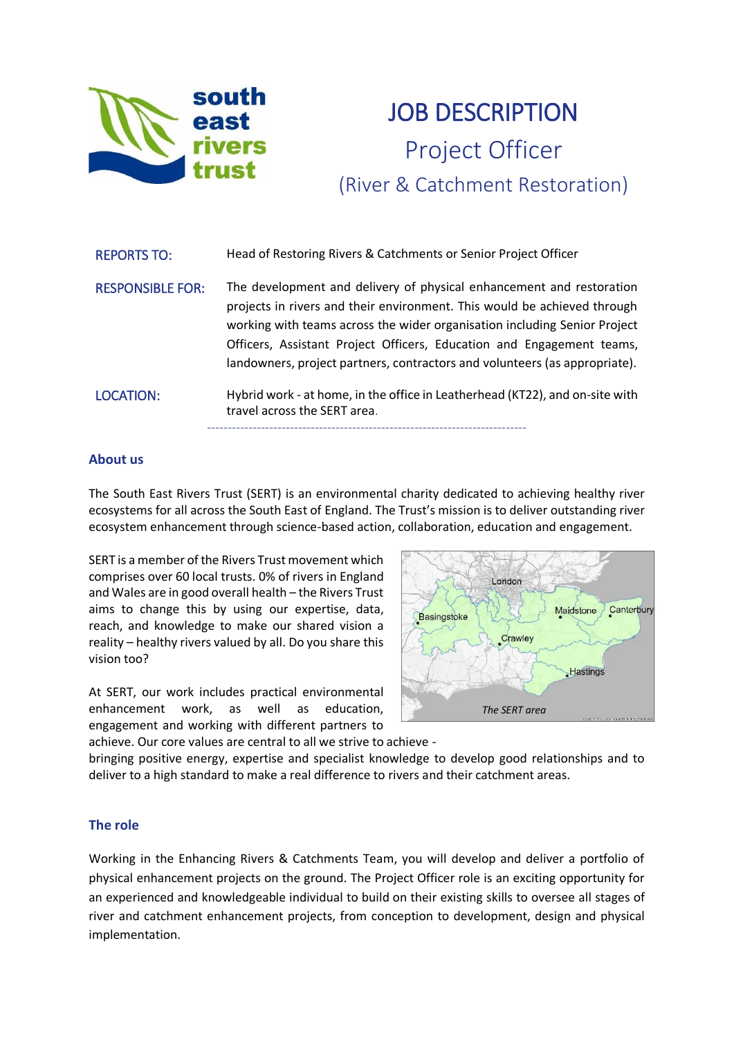

# **JOB DESCRIPTION** Project Officer (River & Catchment Restoration)

| <b>REPORTS TO:</b>      | Head of Restoring Rivers & Catchments or Senior Project Officer                                                                                                                                                                                                                                                                                                                      |
|-------------------------|--------------------------------------------------------------------------------------------------------------------------------------------------------------------------------------------------------------------------------------------------------------------------------------------------------------------------------------------------------------------------------------|
| <b>RESPONSIBLE FOR:</b> | The development and delivery of physical enhancement and restoration<br>projects in rivers and their environment. This would be achieved through<br>working with teams across the wider organisation including Senior Project<br>Officers, Assistant Project Officers, Education and Engagement teams,<br>landowners, project partners, contractors and volunteers (as appropriate). |
| <b>LOCATION:</b>        | Hybrid work - at home, in the office in Leatherhead (KT22), and on-site with<br>travel across the SERT area.                                                                                                                                                                                                                                                                         |

#### **About us**

The South East Rivers Trust (SERT) is an environmental charity dedicated to achieving healthy river ecosystems for all across the South East of England. The Trust's mission is to deliver outstanding river ecosystem enhancement through science-based action, collaboration, education and engagement.

SERT is a member of the Rivers Trust movement which comprises over 60 local trusts. 0% of rivers in England and Wales are in good overall health – the Rivers Trust aims to change this by using our expertise, data, reach, and knowledge to make our shared vision a reality – healthy rivers valued by all. Do you share this vision too?

At SERT, our work includes practical environmental enhancement work, as well as education, engagement and working with different partners to achieve. Our core values are central to all we strive to achieve -



bringing positive energy, expertise and specialist knowledge to develop good relationships and to deliver to a high standard to make a real difference to rivers and their catchment areas.

### **The role**

Working in the Enhancing Rivers & Catchments Team, you will develop and deliver a portfolio of physical enhancement projects on the ground. The Project Officer role is an exciting opportunity for an experienced and knowledgeable individual to build on their existing skills to oversee all stages of river and catchment enhancement projects, from conception to development, design and physical implementation.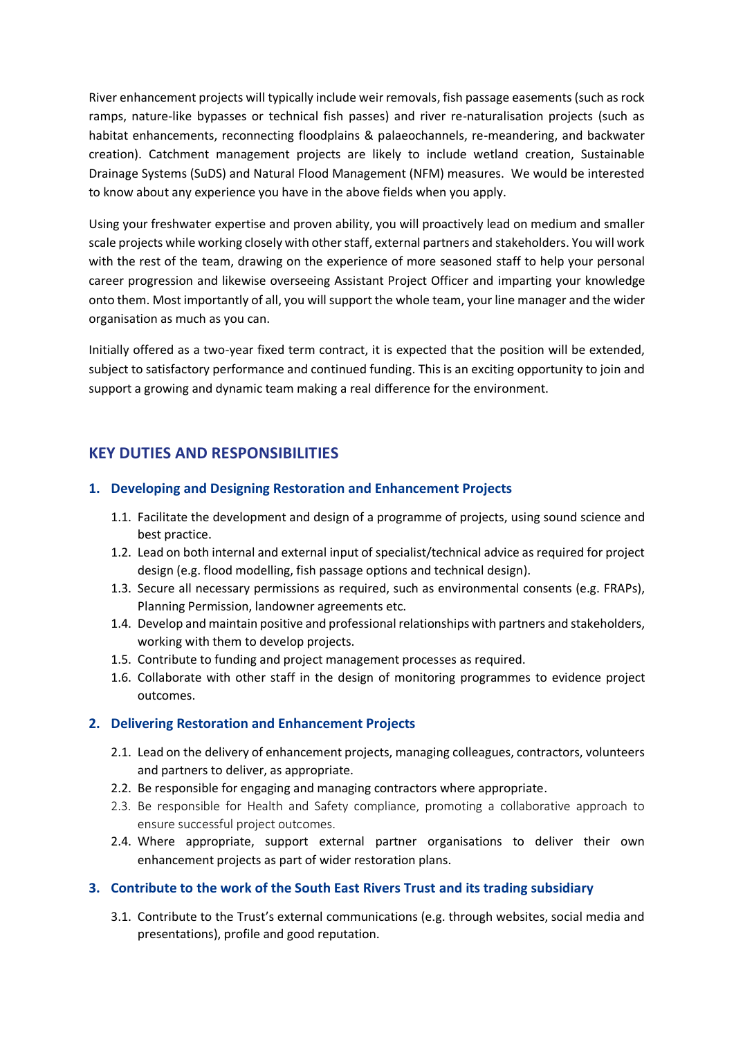River enhancement projects will typically include weir removals, fish passage easements (such as rock ramps, nature-like bypasses or technical fish passes) and river re-naturalisation projects (such as habitat enhancements, reconnecting floodplains & palaeochannels, re-meandering, and backwater creation). Catchment management projects are likely to include wetland creation, Sustainable Drainage Systems (SuDS) and Natural Flood Management (NFM) measures. We would be interested to know about any experience you have in the above fields when you apply.

Using your freshwater expertise and proven ability, you will proactively lead on medium and smaller scale projects while working closely with other staff, external partners and stakeholders. You will work with the rest of the team, drawing on the experience of more seasoned staff to help your personal career progression and likewise overseeing Assistant Project Officer and imparting your knowledge onto them. Most importantly of all, you will support the whole team, your line manager and the wider organisation as much as you can.

Initially offered as a two-year fixed term contract, it is expected that the position will be extended, subject to satisfactory performance and continued funding. This is an exciting opportunity to join and support a growing and dynamic team making a real difference for the environment.

## **KEY DUTIES AND RESPONSIBILITIES**

### **1. Developing and Designing Restoration and Enhancement Projects**

- 1.1. Facilitate the development and design of a programme of projects, using sound science and best practice.
- 1.2. Lead on both internal and external input of specialist/technical advice as required for project design (e.g. flood modelling, fish passage options and technical design).
- 1.3. Secure all necessary permissions as required, such as environmental consents (e.g. FRAPs), Planning Permission, landowner agreements etc.
- 1.4. Develop and maintain positive and professional relationships with partners and stakeholders, working with them to develop projects.
- 1.5. Contribute to funding and project management processes as required.
- 1.6. Collaborate with other staff in the design of monitoring programmes to evidence project outcomes.

### **2. Delivering Restoration and Enhancement Projects**

- 2.1. Lead on the delivery of enhancement projects, managing colleagues, contractors, volunteers and partners to deliver, as appropriate.
- 2.2. Be responsible for engaging and managing contractors where appropriate.
- 2.3. Be responsible for Health and Safety compliance, promoting a collaborative approach to ensure successful project outcomes.
- 2.4. Where appropriate, support external partner organisations to deliver their own enhancement projects as part of wider restoration plans.

### **3. Contribute to the work of the South East Rivers Trust and its trading subsidiary**

3.1. Contribute to the Trust's external communications (e.g. through websites, social media and presentations), profile and good reputation.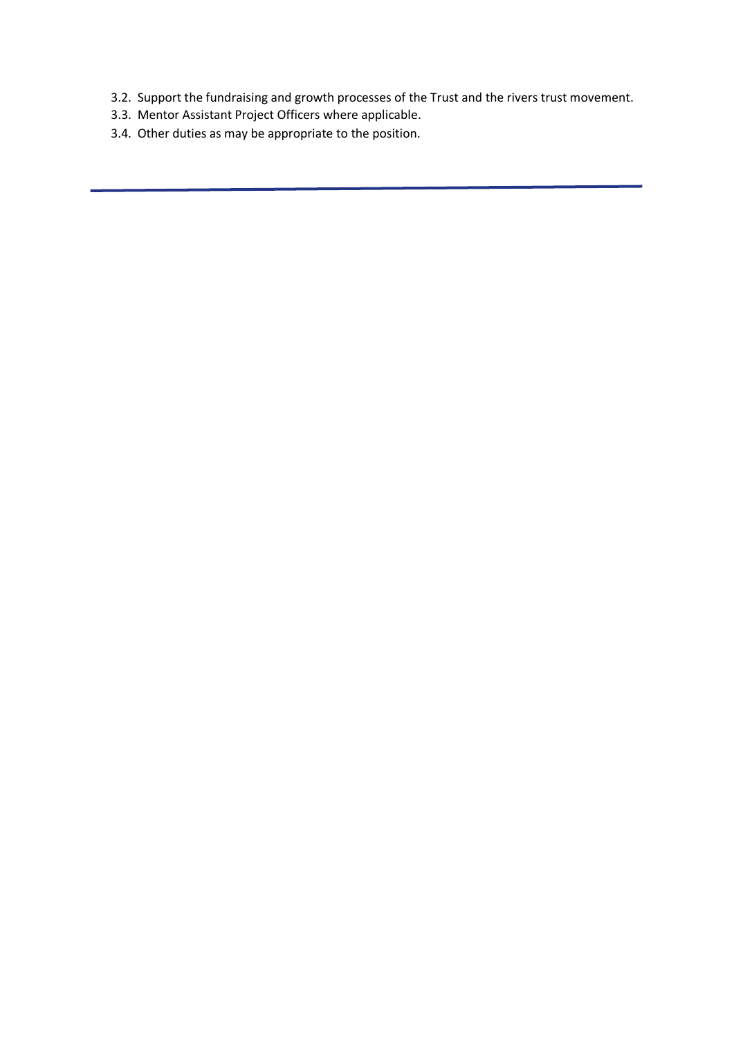- 3.2. Support the fundraising and growth processes of the Trust and the rivers trust movement.
- 3.3. Mentor Assistant Project Officers where applicable.
- 3.4. Other duties as may be appropriate to the position.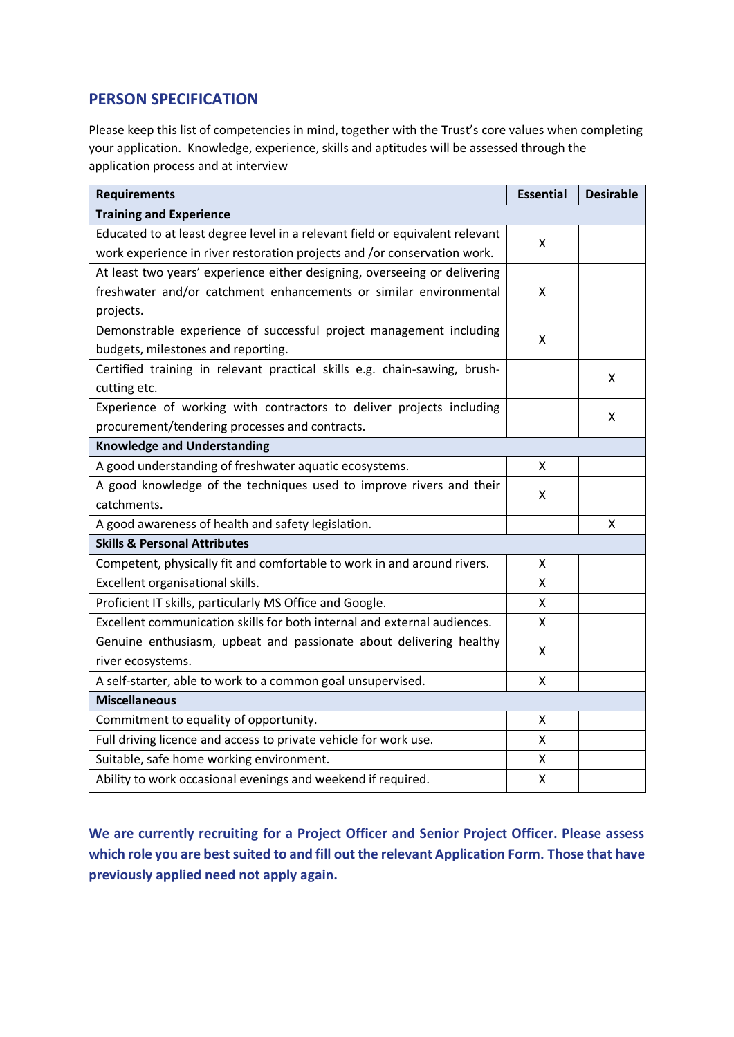## **PERSON SPECIFICATION**

Please keep this list of competencies in mind, together with the Trust's core values when completing your application. Knowledge, experience, skills and aptitudes will be assessed through the application process and at interview

| <b>Requirements</b>                                                                                                    |   | <b>Desirable</b> |  |
|------------------------------------------------------------------------------------------------------------------------|---|------------------|--|
| <b>Training and Experience</b>                                                                                         |   |                  |  |
| Educated to at least degree level in a relevant field or equivalent relevant                                           | Χ |                  |  |
| work experience in river restoration projects and /or conservation work.                                               |   |                  |  |
| At least two years' experience either designing, overseeing or delivering                                              |   |                  |  |
| freshwater and/or catchment enhancements or similar environmental                                                      |   |                  |  |
| projects.                                                                                                              |   |                  |  |
| Demonstrable experience of successful project management including                                                     |   |                  |  |
| budgets, milestones and reporting.                                                                                     |   |                  |  |
| Certified training in relevant practical skills e.g. chain-sawing, brush-                                              |   | X                |  |
| cutting etc.                                                                                                           |   |                  |  |
| Experience of working with contractors to deliver projects including<br>procurement/tendering processes and contracts. |   | X                |  |
|                                                                                                                        |   |                  |  |
| <b>Knowledge and Understanding</b>                                                                                     |   |                  |  |
| A good understanding of freshwater aquatic ecosystems.                                                                 | X |                  |  |
| A good knowledge of the techniques used to improve rivers and their                                                    |   |                  |  |
| catchments.                                                                                                            |   |                  |  |
| A good awareness of health and safety legislation.                                                                     |   | x                |  |
| <b>Skills &amp; Personal Attributes</b>                                                                                |   |                  |  |
| Competent, physically fit and comfortable to work in and around rivers.                                                | Χ |                  |  |
| Excellent organisational skills.                                                                                       |   |                  |  |
| Proficient IT skills, particularly MS Office and Google.                                                               |   |                  |  |
| Excellent communication skills for both internal and external audiences.                                               |   |                  |  |
| Genuine enthusiasm, upbeat and passionate about delivering healthy                                                     |   |                  |  |
| river ecosystems.                                                                                                      |   |                  |  |
| A self-starter, able to work to a common goal unsupervised.                                                            |   |                  |  |
| <b>Miscellaneous</b>                                                                                                   |   |                  |  |
| Commitment to equality of opportunity.                                                                                 | X |                  |  |
| Full driving licence and access to private vehicle for work use.                                                       |   |                  |  |
| Suitable, safe home working environment.                                                                               |   |                  |  |
| Ability to work occasional evenings and weekend if required.                                                           |   |                  |  |

**We are currently recruiting for a Project Officer and Senior Project Officer. Please assess which role you are best suited to and fill out the relevant Application Form. Those that have previously applied need not apply again.**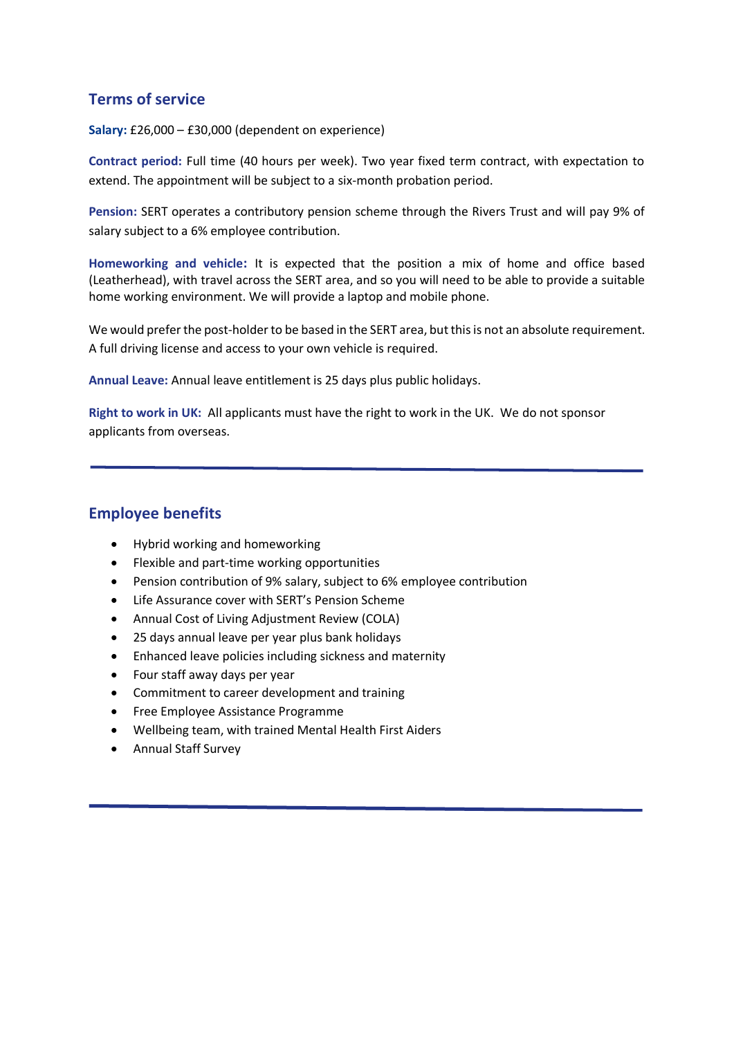## **Terms of service**

**Salary:** £26,000 – £30,000 (dependent on experience)

**Contract period:** Full time (40 hours per week). Two year fixed term contract, with expectation to extend. The appointment will be subject to a six-month probation period.

**Pension:** SERT operates a contributory pension scheme through the Rivers Trust and will pay 9% of salary subject to a 6% employee contribution.

**Homeworking and vehicle:** It is expected that the position a mix of home and office based (Leatherhead), with travel across the SERT area, and so you will need to be able to provide a suitable home working environment. We will provide a laptop and mobile phone.

We would prefer the post-holder to be based in the SERT area, but this is not an absolute requirement. A full driving license and access to your own vehicle is required.

**Annual Leave:** Annual leave entitlement is 25 days plus public holidays.

**Right to work in UK:** All applicants must have the right to work in the UK. We do not sponsor applicants from overseas.

## **Employee benefits**

- Hybrid working and homeworking
- Flexible and part-time working opportunities
- Pension contribution of 9% salary, subject to 6% employee contribution
- Life Assurance cover with SERT's Pension Scheme
- Annual Cost of Living Adjustment Review (COLA)
- 25 days annual leave per year plus bank holidays
- Enhanced leave policies including sickness and maternity
- Four staff away days per year
- Commitment to career development and training
- Free Employee Assistance Programme
- Wellbeing team, with trained Mental Health First Aiders
- Annual Staff Survey